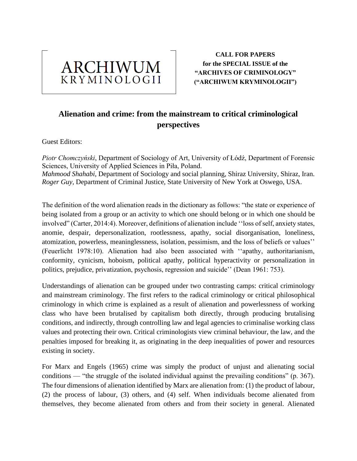

**CALL FOR PAPERS for the SPECIAL ISSUE of the "ARCHIVES OF CRIMINOLOGY" ("ARCHIWUM KRYMINOLOGII")**

# **Alienation and crime: from the mainstream to critical criminological perspectives**

Guest Editors:

*Piotr Chomczyński*, Department of Sociology of Art, University of Łódź, Department of Forensic Sciences, University of Applied Sciences in Piła, Poland. *Mahmood Shahabi*, Department of Sociology and social planning, Shiraz University, Shiraz, Iran. *Roger Guy*, Department of Criminal Justice, State University of New York at Oswego, USA.

The definition of the word alienation reads in the dictionary as follows: "the state or experience of being isolated from a group or an activity to which one should belong or in which one should be involved" (Carter, 2014:4). Moreover, definitions of alienation include ''loss of self, anxiety states, anomie, despair, depersonalization, rootlessness, apathy, social disorganisation, loneliness, atomization, powerless, meaninglessness, isolation, pessimism, and the loss of beliefs or values'' (Feuerlicht 1978:10). Alienation had also been associated with ''apathy, authoritarianism, conformity, cynicism, hoboism, political apathy, political hyperactivity or personalization in politics, prejudice, privatization, psychosis, regression and suicide'' (Dean 1961: 753).

Understandings of alienation can be grouped under two contrasting camps: critical criminology and mainstream criminology. The first refers to the radical criminology or critical philosophical criminology in which crime is explained as a result of alienation and powerlessness of working class who have been brutalised by capitalism both directly, through producing brutalising conditions, and indirectly, through controlling law and legal agencies to criminalise working class values and protecting their own. Critical criminologists view criminal behaviour, the law, and the penalties imposed for breaking it, as originating in the deep inequalities of power and resources existing in society.

For Marx and Engels (1965) crime was simply the product of unjust and alienating social conditions — "the struggle of the isolated individual against the prevailing conditions" (p. 367). The four dimensions of alienation identified by Marx are alienation from: (1) the product of labour, (2) the process of labour, (3) others, and (4) self. When individuals become alienated from themselves, they become alienated from others and from their society in general. Alienated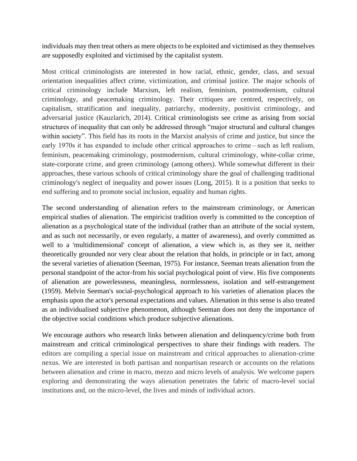individuals may then treat others as mere objects to be exploited and victimised as they themselves are supposedly exploited and victimised by the capitalist system.

Most critical criminologists are interested in how racial, ethnic, gender, class, and sexual orientation inequalities affect crime, victimization, and criminal justice. The major schools of critical criminology include Marxism, left realism, feminism, postmodernism, cultural criminology, and peacemaking criminology. Their critiques are centred, respectively, on capitalism, stratification and inequality, patriarchy, modernity, positivist criminology, and adversarial justice (Kauzlarich, 2014). Critical criminologists see crime as arising from social structures of inequality that can only be addressed through "major structural and cultural changes within society". This field has its roots in the Marxist analysis of crime and justice, but since the early 1970s it has expanded to include other critical approaches to crime – such as left realism, feminism, peacemaking criminology, postmodernism, cultural criminology, white-collar crime, state-corporate crime, and green criminology (among others). While somewhat different in their approaches, these various schools of critical criminology share the goal of challenging traditional criminology's neglect of inequality and power issues (Long, 2015). It is a position that seeks to end suffering and to promote social inclusion, equality and human rights.

The second understanding of alienation refers to the mainstream criminology, or American empirical studies of alienation. The empiricist tradition overly is committed to the conception of alienation as a psychological state of the individual (rather than an attribute of the social system, and as such not necessarily, or even regularly, a matter of awareness), and overly committed as well to a 'multidimensional' concept of alienation, a view which is, as they see it, neither theoretically grounded nor very clear about the relation that holds, in principle or in fact, among the several varieties of alienation (Seeman, 1975). For instance, Seeman treats alienation from the personal standpoint of the actor-from his social psychological point of view. His five components of alienation are powerlessness, meaningless, normlessness, isolation and self-estrangement (1959). Melvin Seeman's social-psychological approach to his varieties of alienation places the emphasis upon the actor's personal expectations and values. Alienation in this sense is also treated as an individualised subjective phenomenon, although Seeman does not deny the importance of the objective social conditions which produce subjective alienations.

We encourage authors who research links between alienation and delinquency/crime both from mainstream and critical criminological perspectives to share their findings with readers. The editors are compiling a special issue on mainstream and critical approaches to alienation-crime nexus. We are interested in both partisan and nonpartisan research or accounts on the relations between alienation and crime in macro, mezzo and micro levels of analysis. We welcome papers exploring and demonstrating the ways alienation penetrates the fabric of macro-level social institutions and, on the micro-level, the lives and minds of individual actors.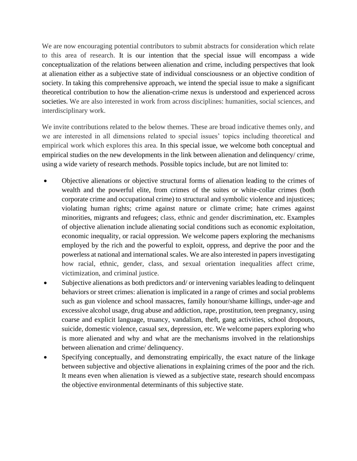We are now encouraging potential contributors to submit abstracts for consideration which relate to this area of research. It is our intention that the special issue will encompass a wide conceptualization of the relations between alienation and crime, including perspectives that look at alienation either as a subjective state of individual consciousness or an objective condition of society. In taking this comprehensive approach, we intend the special issue to make a significant theoretical contribution to how the alienation-crime nexus is understood and experienced across societies. We are also interested in work from across disciplines: humanities, social sciences, and interdisciplinary work.

We invite contributions related to the below themes. These are broad indicative themes only, and we are interested in all dimensions related to special issues' topics including theoretical and empirical work which explores this area. In this special issue, we welcome both conceptual and empirical studies on the new developments in the link between alienation and delinquency/ crime, using a wide variety of research methods. Possible topics include, but are not limited to:

- Objective alienations or objective structural forms of alienation leading to the crimes of wealth and the powerful elite, from crimes of the suites or white-collar crimes (both corporate crime and occupational crime) to structural and symbolic violence and injustices; violating human rights; crime against nature or climate crime; hate crimes against minorities, migrants and refugees; class, ethnic and gender discrimination, etc. Examples of objective alienation include alienating social conditions such as economic exploitation, economic inequality, or racial oppression. We welcome papers exploring the mechanisms employed by the rich and the powerful to exploit, oppress, and deprive the poor and the powerless at national and international scales. We are also interested in papers investigating how racial, ethnic, gender, class, and sexual orientation inequalities affect crime, victimization, and criminal justice.
- Subjective alienations as both predictors and/ or intervening variables leading to delinquent behaviors or street crimes: alienation is implicated in a range of crimes and social problems such as gun violence and school massacres, family honour/shame killings, under-age and excessive alcohol usage, drug abuse and addiction, rape, prostitution, teen pregnancy, using coarse and explicit language, truancy, vandalism, theft, gang activities, school dropouts, suicide, domestic violence, casual sex, depression, etc. We welcome papers exploring who is more alienated and why and what are the mechanisms involved in the relationships between alienation and crime/ delinquency.
- Specifying conceptually, and demonstrating empirically, the exact nature of the linkage between subjective and objective alienations in explaining crimes of the poor and the rich. It means even when alienation is viewed as a subjective state, research should encompass the objective environmental determinants of this subjective state.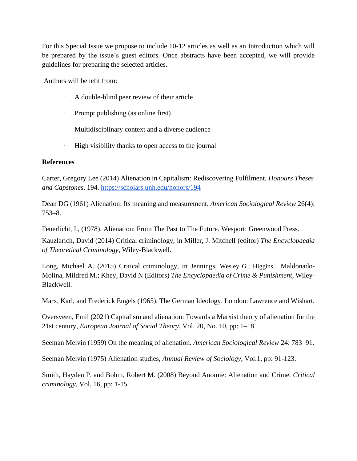For this Special Issue we propose to include 10-12 articles as well as an Introduction which will be prepared by the issue's guest editors. Once abstracts have been accepted, we will provide guidelines for preparing the selected articles.

Authors will benefit from:

- · A double-blind peer review of their article
- · Prompt publishing (as online first)
- · Multidisciplinary context and a diverse audience
- · High visibility thanks to open access to the journal

### **References**

Carter, Gregory Lee (2014) Alienation in Capitalism: Rediscovering Fulfilment, *Honours Theses and Capstones*. 194[.](https://scholars.unh.edu/honors/194) <https://scholars.unh.edu/honors/194>

Dean DG (1961) Alienation: Its meaning and measurement. *American Sociological Review* 26(4): 753–8.

Feuerlicht, I., (1978). Alienation: From The Past to The Future. Wesport: Greenwood Press.

[Kauzlarich,](https://onlinelibrary.wiley.com/action/doSearch?ContribAuthorRaw=Kauzlarich%2C+David) David (2014) Critical criminology, in Miller, J. Mitchell (editor) *[The Encyclopaedia](https://onlinelibrary.wiley.com/doi/book/10.1002/9781118517390)  [of Theoretical Criminology](https://onlinelibrary.wiley.com/doi/book/10.1002/9781118517390)*, Wiley-Blackwell.

Long, Michael A. (2015) Critical criminology, in [Jennings,](https://www.wiley.com/en-us/search?pq=%7Crelevance%7Cauthor%3AWesley+G.+Jennings) [Wesley G.; Higgins,](https://www.wiley.com/en-us/search?pq=%7Crelevance%7Cauthor%3AWesley+G.+Jennings) [Maldonado-](https://www.wiley.com/en-us/search?pq=%7Crelevance%7Cauthor%3AMildred+M.+Maldonado-Molina)[Molina, Mildred M.;](https://www.wiley.com/en-us/search?pq=%7Crelevance%7Cauthor%3AMildred+M.+Maldonado-Molina) [Khey, David N \(Editors\)](https://www.wiley.com/en-us/search?pq=%7Crelevance%7Cauthor%3ADavid+N.+Khey) *[The Encyclopaedia of Crime & Punishment](https://onlinelibrary.wiley.com/doi/book/10.1002/9781118519639)*, Wiley-Blackwell.

Marx, Karl, and Frederick Engels (1965). The German Ideology. London: Lawrence and Wishart.

Oversveen, Emil (2021) Capitalism and alienation: Towards a Marxist theory of alienation for the 21st century, *European Journal of Social Theory*, Vol. 20, No. 10, pp: 1–18

Seeman Melvin (1959) On the meaning of alienation. *American Sociological Review* 24: 783–91.

Seeman Melvin (1975) Alienation studies, *Annual Review of Sociology*, Vol.1, pp: 91-123.

Smith, Hayden P. and Bohm, Robert M. (2008) Beyond Anomie: Alienation and Crime. *Critical criminology*, Vol. 16, pp: 1-15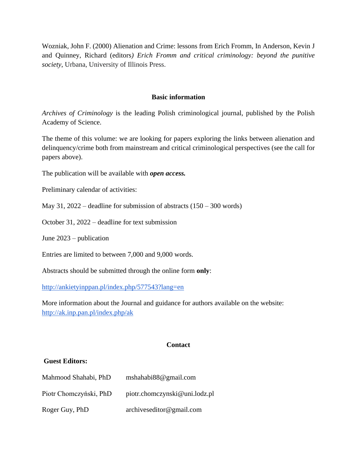Wozniak, John F. (2000) Alienation and Crime: lessons from Erich Fromm, In Anderson, Kevin J and Quinney, Richard (editors*) Erich Fromm and critical criminology: beyond the punitive society*, Urbana, University of Illinois Press.

#### **Basic information**

*Archives of Criminology* is the leading Polish criminological journal, published by the Polish Academy of Science.

The theme of this volume: we are looking for papers exploring the links between alienation and delinquency/crime both from mainstream and critical criminological perspectives (see the call for papers above).

The publication will be available with *open access.*

Preliminary calendar of activities:

May 31,  $2022$  – deadline for submission of abstracts  $(150 - 300$  words)

October 31, 2022 – deadline for text submission

June 2023 – publication

Entries are limited to between 7,000 and 9,000 words.

Abstracts should be submitted through the online form **only**[:](http://ankietyinppan.pl/index.php/245662?lang=en)

<http://ankietyinppan.pl/index.php/577543?lang=en>

More information about the Journal and guidance for authors available on the website[:](http://ak.inp.pan.pl/index.php/ak) <http://ak.inp.pan.pl/index.php/ak>

#### **Contact**

#### **Guest Editors:**

| Mahmood Shahabi, PhD   | mshahabi $88@$ gmail.com      |
|------------------------|-------------------------------|
| Piotr Chomezyński, PhD | piotr.chomczynski@uni.lodz.pl |
| Roger Guy, PhD         | archiveseditor@gmail.com      |